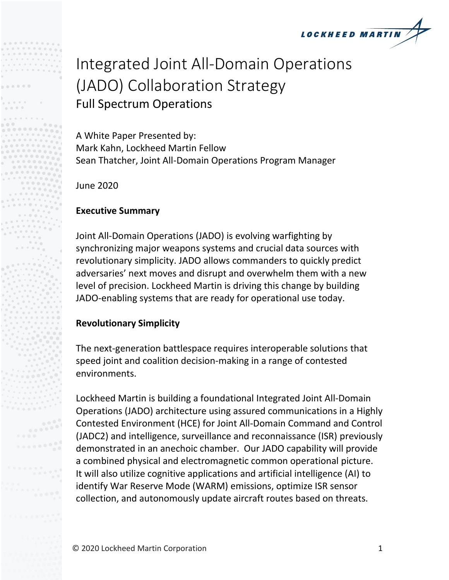

# Integrated Joint All-Domain Operations (JADO) Collaboration Strategy Full Spectrum Operations

A White Paper Presented by: Mark Kahn, Lockheed Martin Fellow Sean Thatcher, Joint All-Domain Operations Program Manager

June 2020

# **Executive Summary**

Joint All-Domain Operations (JADO) is evolving warfighting by synchronizing major weapons systems and crucial data sources with revolutionary simplicity. JADO allows commanders to quickly predict adversaries' next moves and disrupt and overwhelm them with a new level of precision. Lockheed Martin is driving this change by building JADO-enabling systems that are ready for operational use today.

## **Revolutionary Simplicity**

The next-generation battlespace requires interoperable solutions that speed joint and coalition decision-making in a range of contested environments.

Lockheed Martin is building a foundational Integrated Joint All-Domain Operations (JADO) architecture using assured communications in a Highly Contested Environment (HCE) for Joint All-Domain Command and Control (JADC2) and intelligence, surveillance and reconnaissance (ISR) previously demonstrated in an anechoic chamber. Our JADO capability will provide a combined physical and electromagnetic common operational picture. It will also utilize cognitive applications and artificial intelligence (AI) to identify War Reserve Mode (WARM) emissions, optimize ISR sensor collection, and autonomously update aircraft routes based on threats.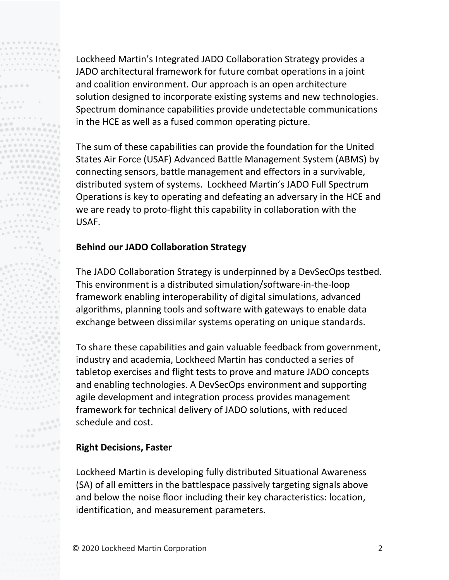Lockheed Martin's Integrated JADO Collaboration Strategy provides a JADO architectural framework for future combat operations in a joint and coalition environment. Our approach is an open architecture solution designed to incorporate existing systems and new technologies. Spectrum dominance capabilities provide undetectable communications in the HCE as well as a fused common operating picture.

The sum of these capabilities can provide the foundation for the United States Air Force (USAF) Advanced Battle Management System (ABMS) by connecting sensors, battle management and effectors in a survivable, distributed system of systems. Lockheed Martin's JADO Full Spectrum Operations is key to operating and defeating an adversary in the HCE and we are ready to proto-flight this capability in collaboration with the USAF.

# **Behind our JADO Collaboration Strategy**

The JADO Collaboration Strategy is underpinned by a DevSecOps testbed. This environment is a distributed simulation/software-in-the-loop framework enabling interoperability of digital simulations, advanced algorithms, planning tools and software with gateways to enable data exchange between dissimilar systems operating on unique standards.

To share these capabilities and gain valuable feedback from government, industry and academia, Lockheed Martin has conducted a series of tabletop exercises and flight tests to prove and mature JADO concepts and enabling technologies. A DevSecOps environment and supporting agile development and integration process provides management framework for technical delivery of JADO solutions, with reduced schedule and cost.

## **Right Decisions, Faster**

Lockheed Martin is developing fully distributed Situational Awareness (SA) of all emitters in the battlespace passively targeting signals above and below the noise floor including their key characteristics: location, identification, and measurement parameters.